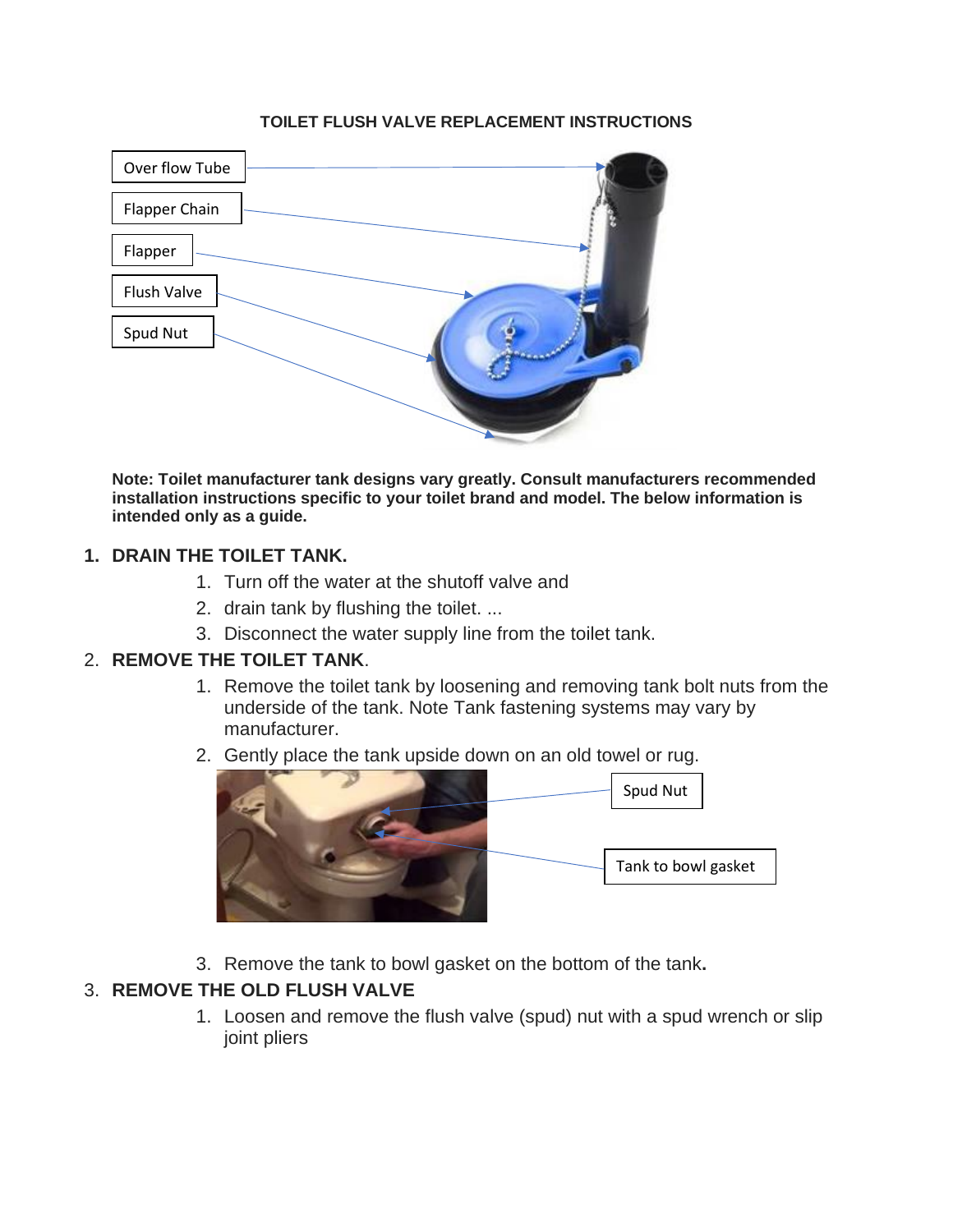#### **TOILET FLUSH VALVE REPLACEMENT INSTRUCTIONS**



**Note: Toilet manufacturer tank designs vary greatly. Consult manufacturers recommended installation instructions specific to your toilet brand and model. The below information is intended only as a guide.** 

### **1. DRAIN THE TOILET TANK.**

- 1. Turn off the water at the shutoff valve and
- 2. drain tank by flushing the toilet. ...
- 3. Disconnect the water supply line from the toilet tank.

#### 2. **REMOVE THE TOILET TANK**.

- 1. Remove the toilet tank by loosening and removing tank bolt nuts from the underside of the tank. Note Tank fastening systems may vary by manufacturer.
- 2. Gently place the tank upside down on an old towel or rug.



3. Remove the tank to bowl gasket on the bottom of the tank**.** 

## 3. **REMOVE THE OLD FLUSH VALVE**

1. Loosen and remove the flush valve (spud) nut with a spud wrench or slip joint pliers